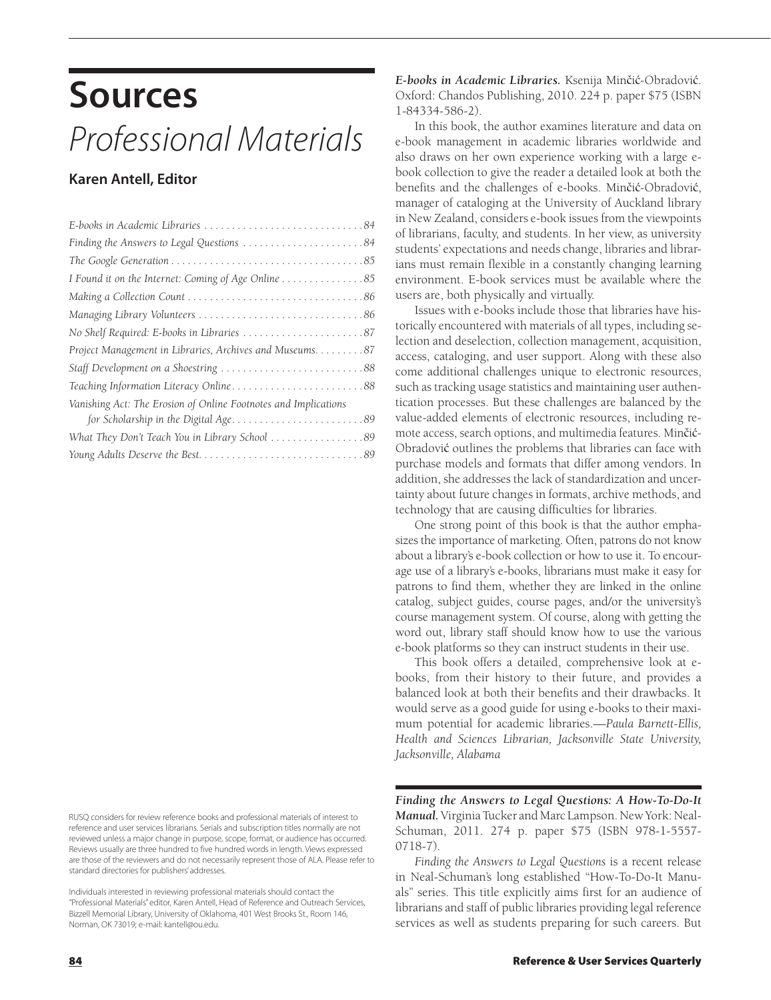## **Sources** *Professional Materials*

## **Karen Antell, Editor**

| Finding the Answers to Legal Questions 84                       |
|-----------------------------------------------------------------|
|                                                                 |
| I Found it on the Internet: Coming of Age Online 85             |
|                                                                 |
|                                                                 |
|                                                                 |
| Project Management in Libraries, Archives and Museums. 87       |
| Staff Development on a Shoestring 88                            |
| Teaching Information Literacy Online88                          |
| Vanishing Act: The Erosion of Online Footnotes and Implications |
|                                                                 |
| What They Don't Teach You in Library School 89                  |
|                                                                 |

RUSQ considers for review reference books and professional materials of interest to reference and user services librarians. Serials and subscription titles normally are not reviewed unless a major change in purpose, scope, format, or audience has occurred. Reviews usually are three hundred to five hundred words in length. Views expressed are those of the reviewers and do not necessarily represent those of ALA. Please refer to standard directories for publishers' addresses.

Individuals interested in reviewing professional materials should contact the "Professional Materials" editor, Karen Antell, Head of Reference and Outreach Services, Bizzell Memorial Library, University of Oklahoma, 401 West Brooks St., Room 146, Norman, OK 73019; e-mail: kantell@ou.edu.

*E-books in Academic Libraries.* Ksenija Minčić-Obradović. Oxford: Chandos Publishing, 2010. 224 p. paper \$75 (ISBN 1-84334-586-2).

In this book, the author examines literature and data on e-book management in academic libraries worldwide and also draws on her own experience working with a large ebook collection to give the reader a detailed look at both the benefits and the challenges of e-books. Minčić-Obradović, manager of cataloging at the University of Auckland library in New Zealand, considers e-book issues from the viewpoints of librarians, faculty, and students. In her view, as university students' expectations and needs change, libraries and librarians must remain flexible in a constantly changing learning environment. E-book services must be available where the users are, both physically and virtually.

Issues with e-books include those that libraries have historically encountered with materials of all types, including selection and deselection, collection management, acquisition, access, cataloging, and user support. Along with these also come additional challenges unique to electronic resources, such as tracking usage statistics and maintaining user authentication processes. But these challenges are balanced by the value-added elements of electronic resources, including remote access, search options, and multimedia features. Minčić-Obradović outlines the problems that libraries can face with purchase models and formats that differ among vendors. In addition, she addresses the lack of standardization and uncertainty about future changes in formats, archive methods, and technology that are causing difficulties for libraries.

One strong point of this book is that the author emphasizes the importance of marketing. Often, patrons do not know about a library's e-book collection or how to use it. To encourage use of a library's e-books, librarians must make it easy for patrons to find them, whether they are linked in the online catalog, subject guides, course pages, and/or the university's course management system. Of course, along with getting the word out, library staff should know how to use the various e-book platforms so they can instruct students in their use.

This book offers a detailed, comprehensive look at ebooks, from their history to their future, and provides a balanced look at both their benefits and their drawbacks. It would serve as a good guide for using e-books to their maximum potential for academic libraries.—*Paula Barnett-Ellis, Health and Sciences Librarian, Jacksonville State University, Jacksonville, Alabama*

*Finding the Answers to Legal Questions: A How-To-Do-It Manual.* Virginia Tucker and Marc Lampson. New York: Neal-Schuman, 2011. 274 p. paper \$75 (ISBN 978-1-5557- 0718-7).

*Finding the Answers to Legal Questions* is a recent release in Neal-Schuman's long established "How-To-Do-It Manuals" series. This title explicitly aims first for an audience of librarians and staff of public libraries providing legal reference services as well as students preparing for such careers. But